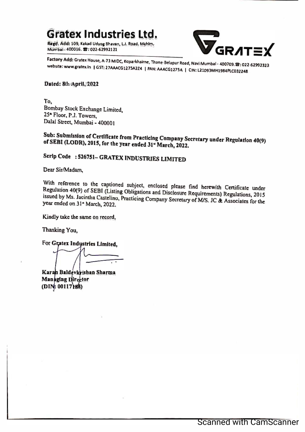**Gratex Industries Ltd.** 

**Regd. Add: 109, Kakad Udyog Bhavan, LJ. Road, Mahlm, Mumbai• 400016, 8: 022-62992121** 



Factory Add: Gratex House, A-73 MIDC, Koparkhalrne, Thane-Belapur Road, Navi Mumbai - 400709. **23: 022-62992323** website: www.gratex.in | GST: 27AAACG1275A2Z4 | PAN: AAACG1275A | CIN: L21093MH1984PLC032248

### **Datrd: 8th .April, 1022**

**To**<sub>2</sub> **Bombay Stock Exchange Limited, 25• Floor, P.1. Towers, Dalal Street, Mumbai - 400001**

## Sub: Submission of Certificate from Practicing Company Secretary under Regulation 40(9)<br>of SEBI (LODR), 2015, for the year ended 31" March, 2022. of SEBI (LODR), 2015, for the year ended 31<sup>d</sup> March, 2022.

# **Scrip Code : 526751- GRATEX INDUSTRIES LIM1TED**

**Dear Sir/Madam;** 

**Regulation**  With reference to the captioned subject, enclosed please find herewith Certificate under<br>Regulation 40(9) of SEBI (Listing Obligations and Disclosure Requirements) Regulations, 2015<br>issued by Ms. Jacintha Casteling Prestic **year ended**  issued by Ms. Jacintha Castelino, Practicing Company Secretary of M/S. JC & Associates for the year ended on 31<sup>\*</sup> March, 2022.

**Kindly take the same on record,** 

Thanking You,

For Gratex Indystries Limited,

**Karah Baldevkrishan Sharma** Managing Director **(D : 00117 8)**